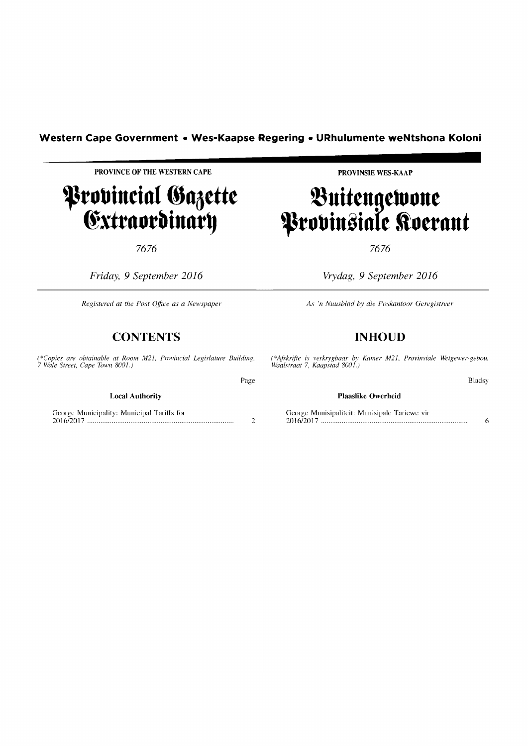# **Western Cape Government • Wes-Kaapse Regering • URhulumente weNtshona Koloni <br>
PROVINCE OF THE WESTERN CAPE PROVINGE PROVINSIE WES-KAAP**

Page

**------------------------**

## **P**rovincial Gazette **Extraordinary**

7676

*Friday,* 9 *September 2016* 

*Registered at the Post Office as a New.lpaper* 

### **CONTENTS**

*(\*Copies are obtainable at Room M2], Provincial Legislature Building, 7 Wale Street, Cape Town 8001.)* 

**Local Authority** 

George Municipality: Municipal Tariffs for 2016/2017 ............................................................................. . 2 **PROVINSIE WES-KAAP** 

# $\sim$ unttngtwynt $\sim$ **P**robinsiale Roerant **i**

7676

*Vrydag,* 9 *September 2016* 

*As 'n Nllllsblad by die Poskantoor Geregistreer* 

## **INHOUD**

*(\*Aflkrifie is verkrygbaar by Kamer M2], Provill.liale Wetgewer-gebou, Waa/straat* 7, *Kaapstad 800].)* 

Bladsy

#### **Plaaslike Owerheid**

George Munisipaliteit: Munisipale Tariewe vir 2016/2017 ............................................................................. . 6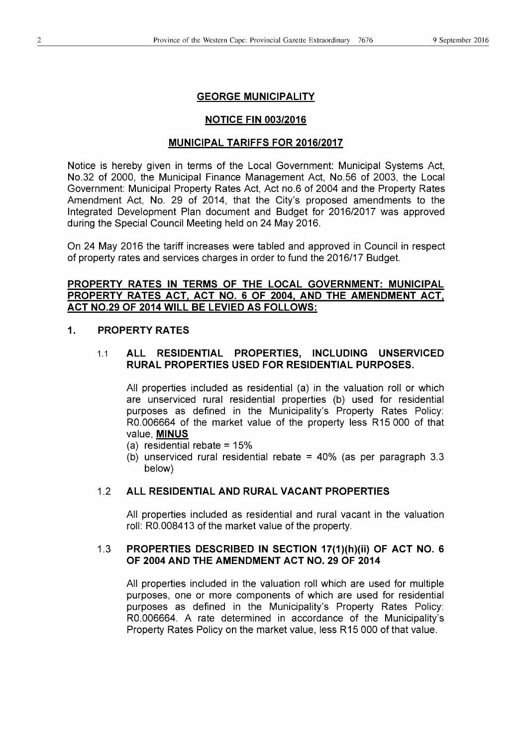#### **GEORGE MUNICIPALITY**

#### **NOTICE FIN 003/2016**

#### **MUNICIPAL TARIFFS FOR 2016/2017**

Notice is hereby given in terms of the Local Government: Municipal Systems Act, No.32 of 2000, the Municipal Finance Management Act, No.56 of 2003, the Local Government: Municipal Property Rates Act, Act no.6 of 2004 and the Property Rates Amendment Act, No. 29 of 2014, that the City's proposed amendments to the Integrated Development Plan document and Budget for 2016/2017 was approved during the Special Council Meeting held on 24 May 2016.

On 24 May 2016 the tariff increases were tabled and approved in Council in respect of property rates and services charges in order to fund the 2016/17 Budget.

#### **PROPERTY RATES IN TERMS OF THE LOCAL GOVERNMENT: MUNICIPAL PROPERTY RATES ACT, ACT NO.6 OF 2004, AND THE AMENDMENT ACT, ACT NO.29 OF 2014 WILL BE LEVIED AS FOLLOWS:**

#### **1. PROPERTY RATES**

#### 1.1 **ALL RESIDENTIAL PROPERTIES, INCLUDING UNSERVICED RURAL PROPERTIES USED FOR RESIDENTIAL PURPOSES.**

All properties included as residential (a) in the valuation roll or which are unserviced rural residential properties (b) used for residential purposes as defined in the Municipality's Property Rates Policy: RO.006664 of the market value of the property less R15 000 of that value, **MINUS** 

- (a) residential rebate  $= 15%$
- (b) unserviced rural residential rebate = 40% (as per paragraph 3.3 below)

#### 1.2 **ALL RESIDENTIAL AND RURAL VACANT PROPERTIES**

All properties included as residential and rural vacant in the valuation roll: RO.008413 of the market value of the property.

#### 1.3 **PROPERTIES DESCRIBED IN SECTION 17(1 )(h)(ii) OF ACT NO. 6 OF 2004 AND THE AMENDMENT ACT NO. 29 OF 2014**

All properties included in the valuation roll which are used for multiple purposes, one or more components of which are used for residential purposes as defined in the Municipality's Property Rates Policy: RO.006664. A rate determined in accordance of the Municipality's Property Rates Policy on the market value, less R 15 000 of that value.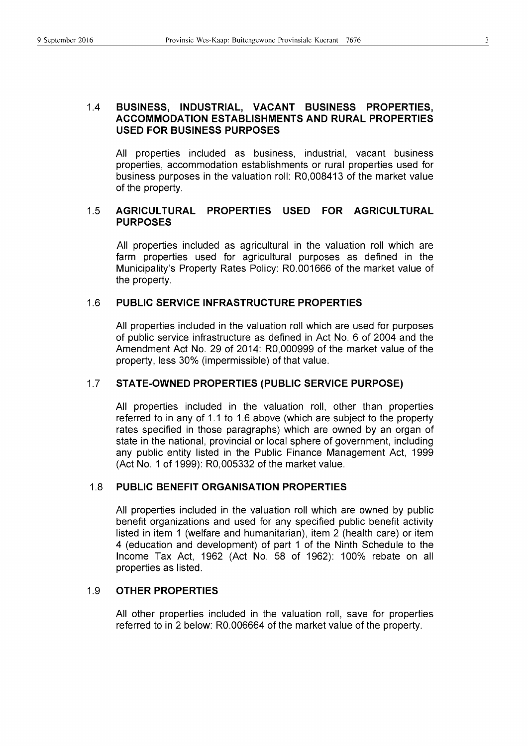#### 1.4 **BUSINESS, INDUSTRIAL, VACANT BUSINESS PROPERTIES, ACCOMMODATION ESTABLISHMENTS AND RURAL PROPERTIES USED FOR BUSINESS PURPOSES**

All properties included as business, industrial, vacant business properties, accommodation establishments or rural properties used for business purposes in the valuation roll: RO,008413 of the market value of the property.

#### 1.5 **AGRICULTURAL PROPERTIES USED FOR AGRICULTURAL PURPOSES**

All properties included as agricultural in the valuation roll which are farm properties used for agricultural purposes as defined in the Municipality's Property Rates Policy: RO.001666 of the market value of the property.

#### 1.6 **PUBLIC SERVICE INFRASTRUCTURE PROPERTIES**

All properties included in the valuation roll which are used for purposes of public service infrastructure as defined in Act No. 6 of 2004 and the Amendment Act No. 29 of 2014: RO,000999 of the market value of the property, less 30% (impermissible) of that value.

#### 1.7 **STATE-OWNED PROPERTIES (PUBLIC SERVICE PURPOSE)**

All properties included in the valuation roll, other than properties referred to in any of 1.1 to 1.6 above (which are subject to the property rates specified in those paragraphs) which are owned by an organ of state in the national, provincial or local sphere of government, including any public entity listed in the Public Finance Management Act, 1999 (Act No.1 of 1999): RO,005332 of the market value.

#### 1.8 **PUBLIC BENEFIT ORGANISATION PROPERTIES**

All properties included in the valuation roll which are owned by public benefit organizations and used for any specified public benefit activity listed in item 1 (welfare and humanitarian), item 2 (health care) or item 4 (education and development) of part 1 of the Ninth Schedule to the Income Tax Act, 1962 (Act No. 58 of 1962): 100% rebate on all properties as listed.

#### 1.9 **OTHER PROPERTIES**

All other properties included in the valuation roll, save for properties referred to in 2 below: RO.006664 of the market value of the property.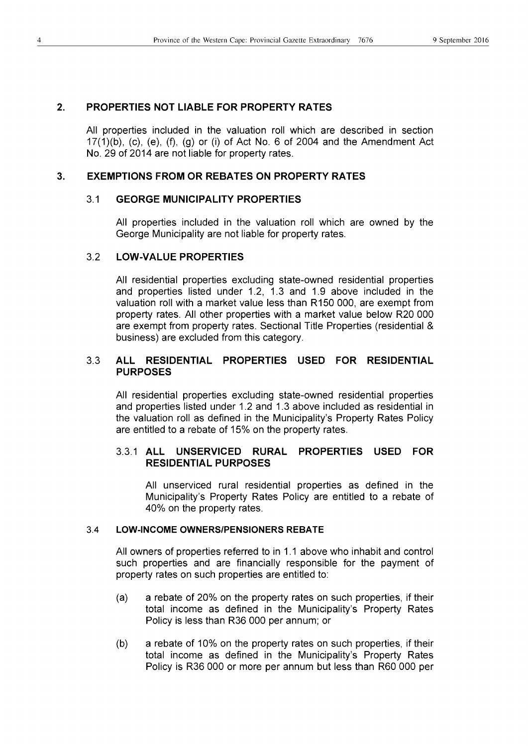#### **2. PROPERTIES NOT LIABLE FOR PROPERTY RATES**

All properties included in the valuation roll which are described in section  $17(1)(b)$ , (c), (e), (f), (g) or (i) of Act No. 6 of 2004 and the Amendment Act No. 29 of 2014 are not liable for property rates.

#### **3. EXEMPTIONS FROM OR REBATES ON PROPERTY RATES**

#### 3.1 **GEORGE MUNICIPALITY PROPERTIES**

All properties included in the valuation roll which are owned by the George Municipality are not liable for property rates.

#### 3.2 **LOW-VALUE PROPERTIES**

All residential properties excluding state-owned residential properties and properties listed under 1.2, 1.3 and 1.9 above included in the valuation roll with a market value less than R150 000, are exempt from property rates. All other properties with a market value below R20 000 are exempt from property rates. Sectional Title Properties (residential & business) are excluded from this category.

#### 3.3 **ALL RESIDENTIAL PROPERTIES USED FOR RESIDENTIAL PURPOSES**

All residential properties excluding state-owned residential properties and properties listed under 1.2 and 1.3 above included as residential in the valuation roll as defined in the Municipality's Property Rates Policy are entitled to a rebate of 15% on the property rates.

#### 3.3.1 **ALL UNSERVICED RURAL PROPERTIES USED FOR RESIDENTIAL PURPOSES**

All unserviced rural residential properties as defined in the Municipality's Property Rates Policy are entitled to a rebate of 40% on the property rates.

#### 3.4 **LOW-INCOME OWNERS/PENSIONERS REBATE**

All owners of properties referred to in 1.1 above who inhabit and control such properties and are financially responsible for the payment of property rates on such properties are entitled to:

- (a) a rebate of 20% on the property rates on such properties, if their total income as defined in the Municipality's Property Rates Policy is less than R36 000 per annum; or
- (b) a rebate of 10% on the property rates on such properties, if their total income as defined in the Municipality's Property Rates Policy is R36 000 or more per annum but less than R60 000 per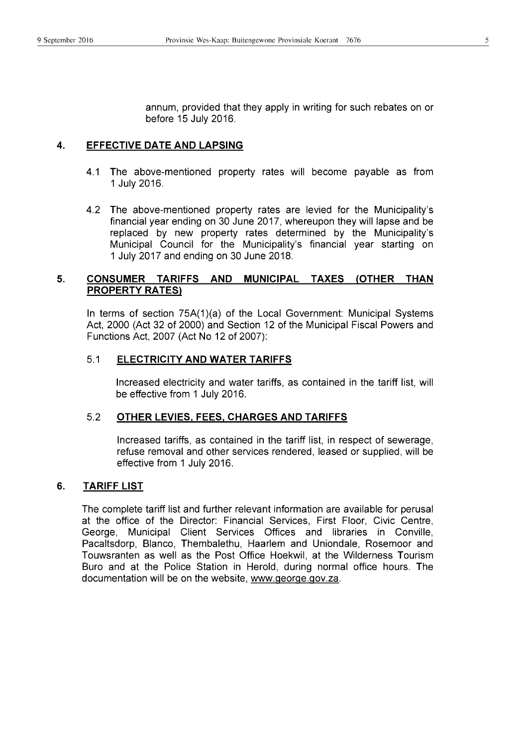annum, provided that they apply in writing for such rebates on or before 15 July 2016.

#### 4. **EFFECTIVE DATE AND LAPSING**

- 4.1 The above-mentioned property rates will become payable as from 1 July 2016.
- 4.2 The above-mentioned property rates are levied for the Municipality's financial year ending on 30 June 2017, whereupon they will lapse and be replaced by new property rates determined by the Municipality's Municipal Council for the Municipality's financial year starting on 1 July 2017 and ending on 30 June 2018.

#### 5. **CONSUMER TARIFFS AND MUNICIPAL TAXES (OTHER THAN PROPERTY RATES)**

In terms of section 75A(1)(a) of the Local Government: Municipal Systems Act, 2000 (Act 32 of 2000) and Section 12 of the Municipal Fiscal Powers and Functions Act, 2007 (Act No 12 of 2007):

#### 5.1 **ELECTRICITY AND WATER TARIFFS**

Increased electricity and water tariffs, as contained in the tariff list, will be effective from 1 July 2016.

#### 5.2 **OTHER LEVIES, FEES, CHARGES AND TARIFFS**

Increased tariffs, as contained in the tariff list, in respect of sewerage, refuse removal and other services rendered, leased or supplied, will be effective from 1 July 2016.

#### 6. **TARIFF LIST**

The complete tariff list and further relevant information are available for perusal at the office of the Director: Financial Services, First Floor, Civic Centre, George, Municipal Client Services Offices and libraries in Conville, Pacaltsdorp, Blanco, Thembalethu, Haarlem and Uniondale, Rosemoor and Touwsranten as well as the Post Office Hoekwil, at the Wilderness Tourism Buro and at the Police Station in Herold, during normal office hours. The documentation will be on the website, www.george.gov.za.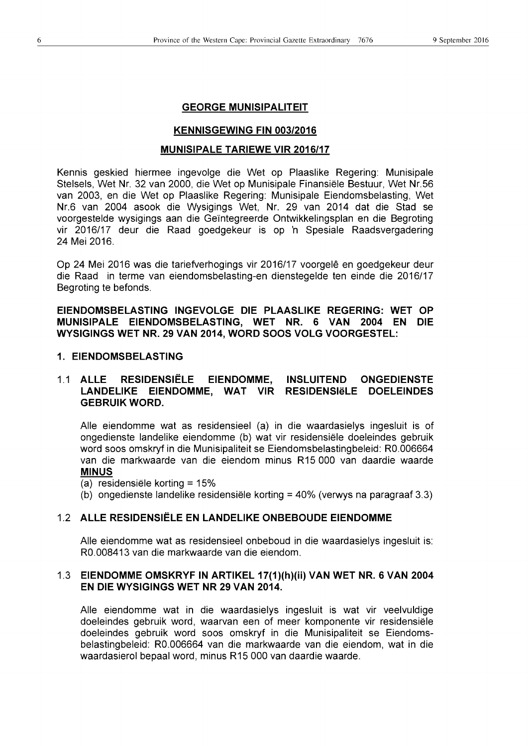#### **GEORGE MUNISIPALITEIT**

#### **KENNISGEWING FIN 003/2016**

#### **MUNISIPALE TARIEWE VIR 2016/17**

Kennis geskied hiermee ingevolge die Wet op Plaaslike Regering: Munisipale Stelsels, Wet Nr. 32 van 2000, die Wet op Munisipale Finansiele Bestuur, Wet Nr.56 van 2003, en die Wet op Plaaslike Regering: Munisipale Eiendomsbelasting, Wet Nr.6 van 2004 asook die Wysigings Wet, Nr. 29 van 2014 dat die Stad se voorgestelde wysigings aan die Geïntegreerde Ontwikkelingsplan en die Begroting vir 2016/17 deur die Raad goedgekeur is op 'n Spesiale Raadsvergadering 24 Mei 2016.

Op 24 Mei 2016 was die tariefverhogings vir 2016/17 voorgelê en goedgekeur deur die Raad in terme van eiendomsbelasting-en dienstegelde ten einde die 2016/17 Begroting te befonds.

**EIENDOMSBELASTING INGEVOLGE DIE PLAASLIKE REGERING: WET OP MUNISIPALE EIENDOMSBELASTING, WET NR. 6 VAN 2004 EN DIE WYSIGINGS WET NR. 29 VAN 2014, WORD SOOS VOLG VOORGESTEL:** 

#### **1. EIENDOMSBELASTING**

#### 1.1 **ALLE RESIDENSIELE EIENDOMME, INSLUITEND ONGEDIENSTE**  LANDELIKE EIENDOMME, WAT VIR RESIDENSI**ELE DOELEINDES GEBRUIK WORD.**

Aile eiendomme wat as residensieel (a) in die waardasielys ingesluit is of ongedienste landelike eiendomme (b) wat vir residensiele doeleindes gebruik word soos omskryf in die Munisipaliteit se Eiendomsbelastingbeleid: RO.006664 van die markwaarde van die eiendom minus R15000 van daardie waarde **MINUS** 

- (a) residensiele korting = 15%
- (b) ongedienste landelike residensiele korting = 40% (verwys na paragraaf 3.3)

#### 1.2 **ALLE RESIDENSIELE EN LANDELIKE ONBEBOUDE EIENDOMME**

Aile eiendomme wat as residensieel onbeboud in die waardasielys ingesluit is: RO.008413 van die markwaarde van die eiendom.

#### 1.3 **EIENDOMME OMSKRYF IN ARTIKEL 17(1 )(h)(ii) VAN WET NR. 6 VAN 2004 EN DIE WYSIGINGS WET NR 29 VAN 2014.**

Aile eiendomme wat in die waardasielys ingesluit is wat vir veelvuldige doeleindes gebruik word, waarvan een of meer komponente vir residensiele doeleindes gebruik word soos omskryf in die Munisipaliteit se Eiendomsbelastingbeleid: RO.006664 van die markwaarde van die eiendom, wat in die waardasierol bepaal word, minus R15 000 van daardie waarde.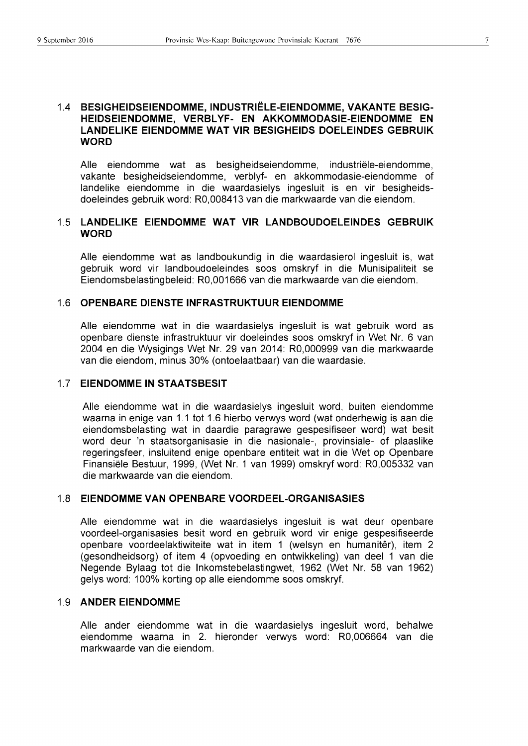Aile eiendomme wat as besigheidseiendomme, industriele-eiendomme, vakante besigheidseiendomme, verblyf- en akkommodasie-eiendomme of landelike eiendomme in die waardasielys ingesluit is en vir besigheidsdoeleindes gebruik word: RO,008413 van die markwaarde van die eiendom.

#### 1.5 **LANDELIKE EIENDOMME WAT VIR LANDBOUDOELEINDES GEBRUIK WORD**

Aile eiendomme wat as landboukundig in die waardasierol ingesluit is, wat gebruik word vir landboudoeleindes soos omskryf in die Munisipaliteit se Eiendomsbelastingbeleid: RO,001666 van die markwaarde van die eiendom.

#### 1.6 **OPENBARE DIENSTE INFRASTRUKTUUR EIENDOMME**

Aile eiendomme wat in die waardasielys ingesluit is wat gebruik word as openbare dienste infrastruktuur vir doeleindes soos omskryf in Wet Nr. 6 van 2004 en die Wysigings Wet Nr. 29 van 2014: RO,000999 van die markwaarde van die eiendom, minus 30% (ontoelaatbaar) van die waardasie.

#### 1.7 **EIENDOMME IN STAATSBESIT**

Aile eiendomme wat in die waardasielys ingesluit word, buiten eiendomme waarna in enige van 1.1 tot 1.6 hierbo verwys word (wat onderhewig is aan die eiendomsbelasting wat in daardie paragrawe gespesifiseer word) wat besit word deur 'n staatsorganisasie in die nasionale-, provinsiale- of plaaslike regeringsfeer, insluitend enige openbare entiteit wat in die Wet op Openbare Finansiele Bestuur, 1999, (Wet Nr. 1 van 1999) omskryf word: RO,005332 van die markwaarde van die eiendom.

#### 1.8 **EIENDOMME VAN** OPEN BARE **VOORDEEL-ORGANISASIES**

Aile eiendomme wat in die waardasielys ingesluit is wat deur openbare voordeel-organisasies besit word en gebruik word vir enige gespesifiseerde openbare voordeelaktiwiteite wat in item 1 (welsyn en humaniter), item 2 (gesondheidsorg) of item 4 (opvoeding en ontwikkeling) van deel 1 van die Negende Bylaag tot die Inkomstebelastingwet, 1962 (Wet Nr. 58 van 1962) gelys word: 100% korting op aile eiendomme soos omskryf.

#### 1.9 **ANDER EIENDOMME**

Aile ander eiendomme wat in die waardasielys ingesluit word, behalwe eiendomme waarna in 2. hieronder verwys word: RO,006664 van die markwaarde van die eiendom.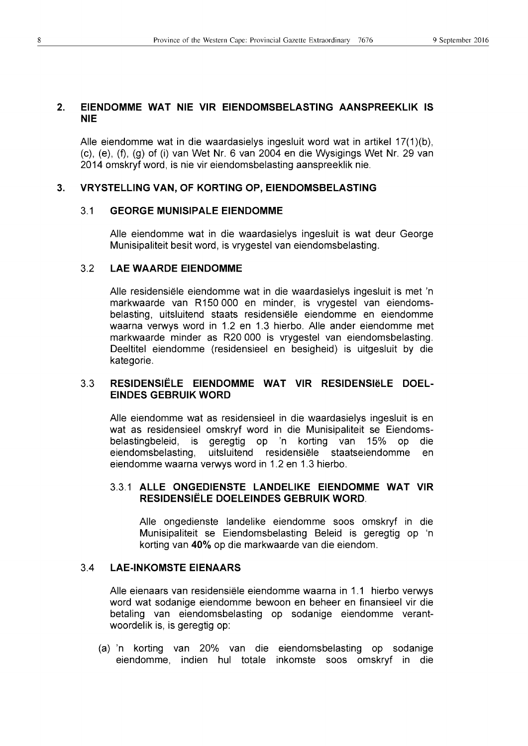#### 2. EIENDOMME WAT NIE VIR EIENDOMSBELASTING AANSPREEKLIK IS NIE

Aile eiendomme wat in die waardasielys ingesluit word wat in artikel 17(1 )(b), (c), (e), (f), (g) of (i) van Wet Nr. 6 van 2004 en die Wysigings Wet Nr. 29 van 2014 omskryf word, is nie vir eiendomsbelasting aanspreeklik nie.

#### 3. VRYSTELLING VAN, OF KORTING OP, EIENDOMSBELASTING

#### 3.1 GEORGE MUNISIPALE EIENDOMME

Aile eiendomme wat in die waardasielys ingesluit is wat deur George Munisipaliteit besit word, is vrygestel van eiendomsbelasting.

#### 3.2 LAE WAARDE EIENDOMME

Aile residensiele eiendomme wat in die waardasielys ingesluit is met 'n markwaarde van R 150 000 en minder, is vrygestel van eiendomsbelasting, uitsluitend staats residensiele eiendomme en eiendomme waarna verwys word in 1.2 en 1.3 hierbo. Aile ander eiendomme met markwaarde minder as R20000 is vrygestel van eiendomsbelasting. Oeeltitel eiendomme (residensieel en besigheid) is uitgesluit by die kategorie.

#### 3.3 RESIDENSIËLE EIENDOMME WAT VIR RESIDENSIËLE DOEL-EINDES GEBRUIK WORD

Aile eiendomme wat as residensieel in die waardasielys ingesluit is en wat as residensieel omskryf word in die Munisipaliteit se Eiendomsbelastingbeleid, is geregtig op 'n korting van 15% op die eiendomsbelasting, uitsluitend residensiele staatseiendomme en eiendomme waarna verwys word in 1.2 en 1.3 hierbo.

#### 3.3.1 ALLE ONGEDIENSTE LANDELIKE EIENDOMME WAT VIR RESIDENSIELE DOELEINDES GEBRUIK WORD.

Aile ongedienste landelike eiendomme soos omskryf in die Munisipaliteit se Eiendomsbelasting Beleid is geregtig op 'n korting van 40% op die markwaarde van die eiendom.

#### 3.4 LAE-INKOMSTE EIENAARS

Aile eienaars van residensiele eiendomme waarna in 1.1 hierbo verwys word wat sodanige eiendomme bewoon en beheer en finansieel vir die betaling van eiendomsbelasting op sodanige eiendomme verantwoordelik is, is geregtig op:

(a)'n korting van 20% van die eiendomsbelasting op sodanige eiendomme, indien hul totale inkomste soos omskryf in die